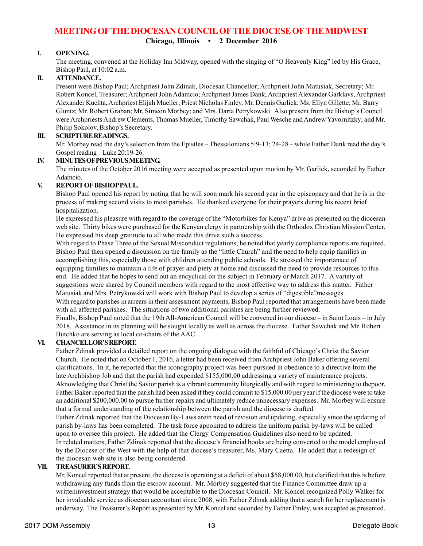# **MEETING OF THE DIOCESAN COUNCIL OF THE DIOCESE OF THE MIDWEST**

**Chicago, Illinois • 2 December 2016**

# **I. OPENING.**

The meeting, convened at the Holiday Inn Midway, opened with the singing of "O Heavenly King" led by His Grace, Bishop Paul, at 10:02 a.m.

# **II. ATTENDANCE.**

Present were Bishop Paul; Archpriest John Zdinak, Diocesan Chancellor; Archpriest John Matusiak, Secretary; Mr. Robert Koncel, Treasurer; Archpriest John Adamcio; Archpriest James Dank; Archpriest Alexander Garklavs, Archpriest Alexander Kuchta, Archpriest Elijah Mueller; Priest Nicholas Finley, Mr. Dennis Garlick; Ms. Ellyn Gillette; Mr. Barry Gluntz; Mr. Robert Graban; Mr. Simeon Morbey; and Mrs. Daria Petrykowski. Also present from the Bishop's Council were Archpriests Andrew Clements, Thomas Mueller, Timothy Sawchak, Paul Wesche and Andrew Yavornitzky; and Mr. Philip Sokolov, Bishop's Secretary.

# **III. SCRIPTURE READINGS.**

Mr. Morbey read the day's selection from the Epistles – Thessalonians 5:9-13; 24-28 – while Father Dank read the day's Gospel reading – Luke 20:19-26.

### **IV. MINUTES OF PREVIOUS MEETING.**

The minutes of the October 2016 meeting were accepted as presented upon motion by Mr. Garlick, seconded by Father Adamcio.

# **V. REPORT OF BISHOP PAUL.**

Bishop Paul opened his report by noting that he will soon mark his second year in the episcopacy and that he is in the process of making second visits to most parishes. He thanked everyone for their prayers during his recent brief hospitalization.

He expressed his pleasure with regard to the coverage of the "Motorbikes for Kenya" drive as presented on the diocesan web site. Thirty bikes were purchased for the Kenyan clergy in partnership with the Orthodox Christian Mission Center. He expressed his deep gratitude to all who made this drive such a success.

With regard to Phase Three of the Sexual Misconduct regulations, he noted that yearly compliance reports are required. Bishop Paul then opened a discussion on the family as the "little Church" and the need to help equip families in accomplishing this, especially those with children attending public schools. He stressed the importanace of equipping families to maintain a life of prayer and piety at home and discussed the need to provide resources to this end. He added that he hopes to send out an encyclical on the subject in February or March 2017. A variety of suggestions were shared by Council members with regard to the most effective way to address this matter. Father Matusiak and Mrs. Petrykowski will work with Bishop Paul to develop a series of "digestible"messages. With regard to parishes in arrears in their assessment payments, Bishop Paul reported that arrangements have been made with all affected parishes. The situations of two additional parishes are being further reviewed.

Finally, Bishop Paul noted that the 19th All-American Council will be convened in our diocese – in Saint Louis – in July 2018. Assistance in its planning will be sought locally as well as across the diocese. Father Sawchak and Mr. Robert Butchko are serving as local co-chairs of the AAC.

# **VI. CHANCELLOR'S REPORT.**

Father Zdinak provided a detailed report on the ongoing dialogue with the faithful of Chicago's Christ the Savior Church. He noted that on October 1, 2016, a letter had been received from Archpriest John Baker offering several clarifications. In it, he reported that the iconography project was been pursued in obedience to a directive from the late Archbishop Job and that the parish had expended \$155,000.00 addressing a variety of maintenance projects. Aknowledging that Christ the Savior parish is a vibrant community liturgically and with regard to ministering to thepoor, Father Baker reported that the parish had been asked if they could commit to \$15,000.00 per year if the diocese were to take an additional \$200,000.00 to pursue further repairs and ultimately reduce unnecessary expenses. Mr. Morbey will ensure that a formal understanding of the relationship between the parish and the diocese is drafted. Father Zdinak reported that the Diocesan By-Laws arein need of revision and updating, especially since the updating of parish by-laws has been completed. The task force appointed to address the uniform parish by-laws will be called

upon to oversee this project. He added that the Clergy Compensation Guidelines also need to be updated. In related matters, Father Zdinak reported that the diocese's financial books are being converted to the model employed by the Diocese of the West with the help of that diocese's treasurer, Ms. Mary Caetta. He added that a redesign of the diocesan web site is also being considered.

# **VII. TREASURER'S REPORT.**

Mr. Koncel reported that at present, the diocese is operating at a deficit of about \$58,000.00, but clarified that this is before withdrawing any funds from the escrow account. Mr. Morbey suggested that the Finance Committee draw up a writteninvestment strategy that would be acceptable to the Diocesan Council. Mr. Koncel recognized Polly Walker for her invaluable service as diocesan accountant since 2008, with Father Zdinak adding that a search for her replacement is underway. The Treasurer's Report as presented by Mr. Koncel and seconded by Father Finley, was accepted as presented.